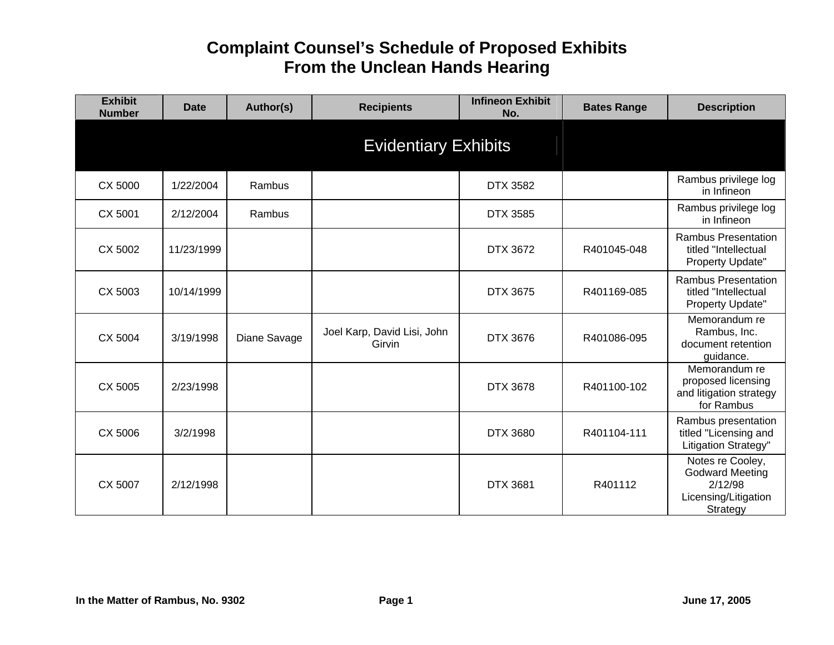| <b>Exhibit</b><br><b>Number</b> | Date       | Author(s)    | <b>Recipients</b>                     | <b>Infineon Exhibit</b><br>No. | <b>Bates Range</b> | <b>Description</b>                                                                        |
|---------------------------------|------------|--------------|---------------------------------------|--------------------------------|--------------------|-------------------------------------------------------------------------------------------|
|                                 |            |              | <b>Evidentiary Exhibits</b>           |                                |                    |                                                                                           |
| CX 5000                         | 1/22/2004  | Rambus       |                                       | <b>DTX 3582</b>                |                    | Rambus privilege log<br>in Infineon                                                       |
| CX 5001                         | 2/12/2004  | Rambus       |                                       | DTX 3585                       |                    | Rambus privilege log<br>in Infineon                                                       |
| CX 5002                         | 11/23/1999 |              |                                       | DTX 3672                       | R401045-048        | <b>Rambus Presentation</b><br>titled "Intellectual<br>Property Update"                    |
| CX 5003                         | 10/14/1999 |              |                                       | DTX 3675                       | R401169-085        | <b>Rambus Presentation</b><br>titled "Intellectual<br>Property Update"                    |
| CX 5004                         | 3/19/1998  | Diane Savage | Joel Karp, David Lisi, John<br>Girvin | DTX 3676                       | R401086-095        | Memorandum re<br>Rambus, Inc.<br>document retention<br>guidance.                          |
| CX 5005                         | 2/23/1998  |              |                                       | DTX 3678                       | R401100-102        | Memorandum re<br>proposed licensing<br>and litigation strategy<br>for Rambus              |
| CX 5006                         | 3/2/1998   |              |                                       | <b>DTX 3680</b>                | R401104-111        | Rambus presentation<br>titled "Licensing and<br>Litigation Strategy"                      |
| CX 5007                         | 2/12/1998  |              |                                       | <b>DTX 3681</b>                | R401112            | Notes re Cooley,<br><b>Godward Meeting</b><br>2/12/98<br>Licensing/Litigation<br>Strategy |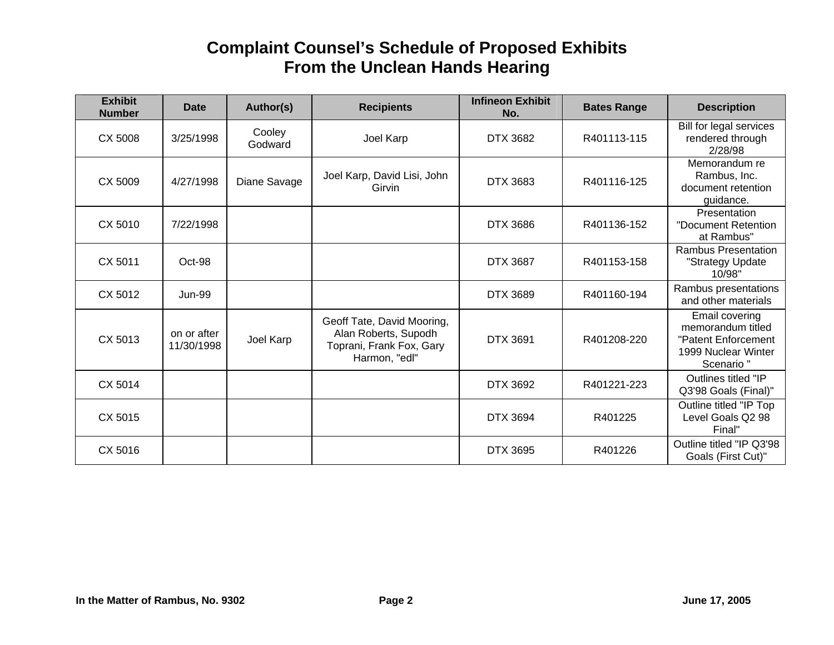| <b>Exhibit</b><br><b>Number</b> | <b>Date</b>               | Author(s)         | <b>Recipients</b>                                                                               | <b>Infineon Exhibit</b><br>No. | <b>Bates Range</b> | <b>Description</b>                                                                             |
|---------------------------------|---------------------------|-------------------|-------------------------------------------------------------------------------------------------|--------------------------------|--------------------|------------------------------------------------------------------------------------------------|
| CX 5008                         | 3/25/1998                 | Cooley<br>Godward | Joel Karp                                                                                       | DTX 3682                       | R401113-115        | Bill for legal services<br>rendered through<br>2/28/98                                         |
| CX 5009                         | 4/27/1998                 | Diane Savage      | Joel Karp, David Lisi, John<br>Girvin                                                           | DTX 3683                       | R401116-125        | Memorandum re<br>Rambus, Inc.<br>document retention<br>guidance.                               |
| CX 5010                         | 7/22/1998                 |                   |                                                                                                 | DTX 3686                       | R401136-152        | Presentation<br>"Document Retention<br>at Rambus"                                              |
| CX 5011                         | Oct-98                    |                   |                                                                                                 | <b>DTX 3687</b>                | R401153-158        | <b>Rambus Presentation</b><br>"Strategy Update<br>10/98"                                       |
| CX 5012                         | <b>Jun-99</b>             |                   |                                                                                                 | <b>DTX 3689</b>                | R401160-194        | Rambus presentations<br>and other materials                                                    |
| CX 5013                         | on or after<br>11/30/1998 | Joel Karp         | Geoff Tate, David Mooring,<br>Alan Roberts, Supodh<br>Toprani, Frank Fox, Gary<br>Harmon, "edl" | <b>DTX 3691</b>                | R401208-220        | Email covering<br>memorandum titled<br>"Patent Enforcement<br>1999 Nuclear Winter<br>Scenario" |
| CX 5014                         |                           |                   |                                                                                                 | DTX 3692                       | R401221-223        | Outlines titled "IP<br>Q3'98 Goals (Final)"                                                    |
| CX 5015                         |                           |                   |                                                                                                 | <b>DTX 3694</b>                | R401225            | Outline titled "IP Top<br>Level Goals Q2 98<br>Final"                                          |
| CX 5016                         |                           |                   |                                                                                                 | <b>DTX 3695</b>                | R401226            | Outline titled "IP Q3'98<br>Goals (First Cut)"                                                 |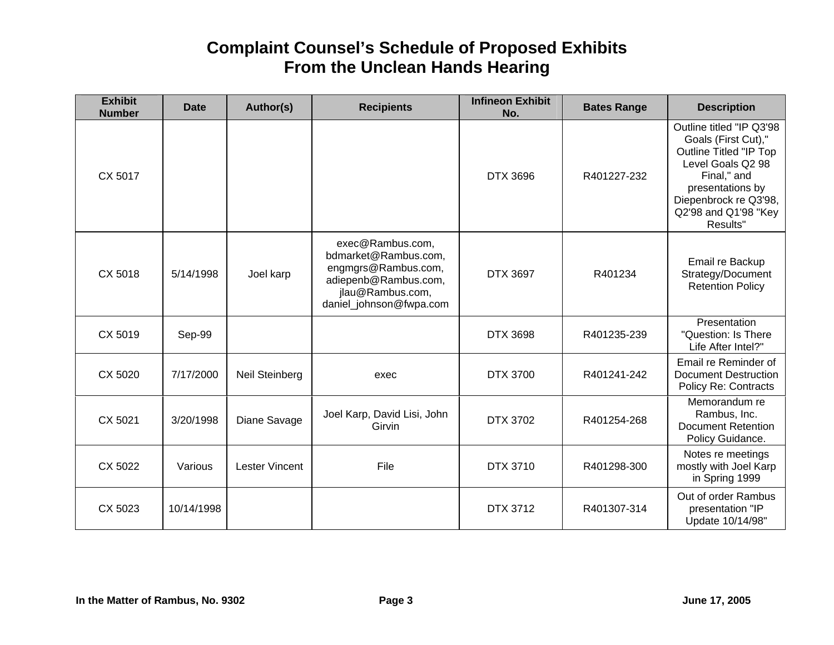| <b>Exhibit</b><br><b>Number</b> | <b>Date</b> | Author(s)             | <b>Recipients</b>                                                                                                                      | <b>Infineon Exhibit</b><br>No. | <b>Bates Range</b> | <b>Description</b>                                                                                                                                                                                    |
|---------------------------------|-------------|-----------------------|----------------------------------------------------------------------------------------------------------------------------------------|--------------------------------|--------------------|-------------------------------------------------------------------------------------------------------------------------------------------------------------------------------------------------------|
| CX 5017                         |             |                       |                                                                                                                                        | DTX 3696                       | R401227-232        | Outline titled "IP Q3'98<br>Goals (First Cut),"<br><b>Outline Titled "IP Top</b><br>Level Goals Q2 98<br>Final," and<br>presentations by<br>Diepenbrock re Q3'98,<br>Q2'98 and Q1'98 "Key<br>Results" |
| CX 5018                         | 5/14/1998   | Joel karp             | exec@Rambus.com,<br>bdmarket@Rambus.com,<br>engmgrs@Rambus.com,<br>adiepenb@Rambus.com,<br>jlau@Rambus.com,<br>daniel_johnson@fwpa.com | <b>DTX 3697</b>                | R401234            | Email re Backup<br>Strategy/Document<br><b>Retention Policy</b>                                                                                                                                       |
| CX 5019                         | Sep-99      |                       |                                                                                                                                        | DTX 3698                       | R401235-239        | Presentation<br>"Question: Is There<br>Life After Intel?"                                                                                                                                             |
| CX 5020                         | 7/17/2000   | <b>Neil Steinberg</b> | exec                                                                                                                                   | DTX 3700                       | R401241-242        | Email re Reminder of<br><b>Document Destruction</b><br><b>Policy Re: Contracts</b>                                                                                                                    |
| CX 5021                         | 3/20/1998   | Diane Savage          | Joel Karp, David Lisi, John<br>Girvin                                                                                                  | <b>DTX 3702</b>                | R401254-268        | Memorandum re<br>Rambus, Inc.<br>Document Retention<br>Policy Guidance.                                                                                                                               |
| CX 5022                         | Various     | <b>Lester Vincent</b> | File                                                                                                                                   | DTX 3710                       | R401298-300        | Notes re meetings<br>mostly with Joel Karp<br>in Spring 1999                                                                                                                                          |
| CX 5023                         | 10/14/1998  |                       |                                                                                                                                        | DTX 3712                       | R401307-314        | Out of order Rambus<br>presentation "IP<br>Update 10/14/98"                                                                                                                                           |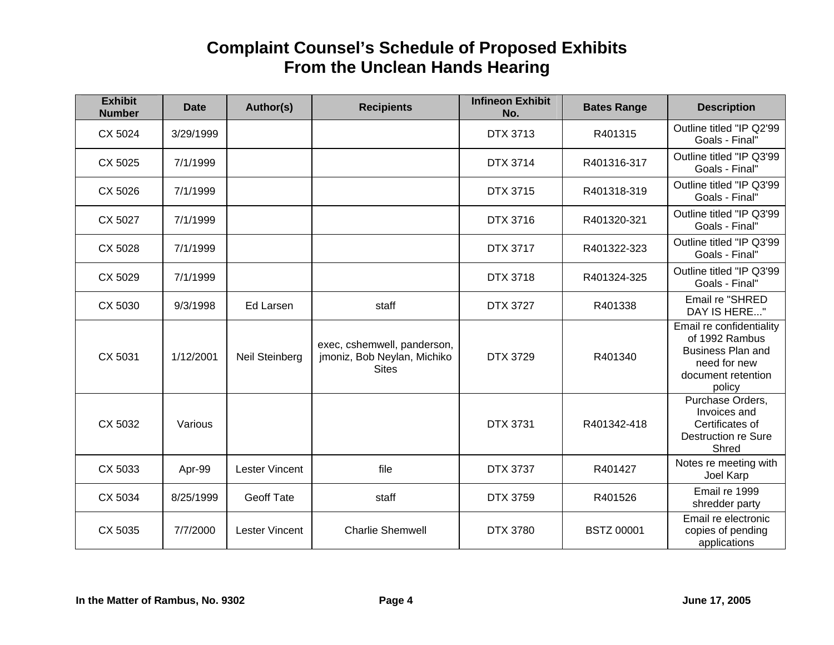| <b>Exhibit</b><br><b>Number</b> | <b>Date</b> | Author(s)             | <b>Recipients</b>                                                          | <b>Infineon Exhibit</b><br>No. | <b>Bates Range</b> | <b>Description</b>                                                                                                     |
|---------------------------------|-------------|-----------------------|----------------------------------------------------------------------------|--------------------------------|--------------------|------------------------------------------------------------------------------------------------------------------------|
| CX 5024                         | 3/29/1999   |                       |                                                                            | DTX 3713                       | R401315            | Outline titled "IP Q2'99<br>Goals - Final"                                                                             |
| CX 5025                         | 7/1/1999    |                       |                                                                            | <b>DTX 3714</b>                | R401316-317        | Outline titled "IP Q3'99<br>Goals - Final"                                                                             |
| CX 5026                         | 7/1/1999    |                       |                                                                            | <b>DTX 3715</b>                | R401318-319        | Outline titled "IP Q3'99<br>Goals - Final"                                                                             |
| CX 5027                         | 7/1/1999    |                       |                                                                            | DTX 3716                       | R401320-321        | Outline titled "IP Q3'99<br>Goals - Final"                                                                             |
| CX 5028                         | 7/1/1999    |                       |                                                                            | <b>DTX 3717</b>                | R401322-323        | Outline titled "IP Q3'99<br>Goals - Final"                                                                             |
| CX 5029                         | 7/1/1999    |                       |                                                                            | <b>DTX 3718</b>                | R401324-325        | Outline titled "IP Q3'99<br>Goals - Final"                                                                             |
| CX 5030                         | 9/3/1998    | <b>Ed Larsen</b>      | staff                                                                      | <b>DTX 3727</b>                | R401338            | Email re "SHRED<br>DAY IS HERE"                                                                                        |
| CX 5031                         | 1/12/2001   | Neil Steinberg        | exec, cshemwell, panderson,<br>jmoniz, Bob Neylan, Michiko<br><b>Sites</b> | <b>DTX 3729</b>                | R401340            | Email re confidentiality<br>of 1992 Rambus<br><b>Business Plan and</b><br>need for new<br>document retention<br>policy |
| CX 5032                         | Various     |                       |                                                                            | <b>DTX 3731</b>                | R401342-418        | Purchase Orders,<br>Invoices and<br>Certificates of<br>Destruction re Sure<br>Shred                                    |
| CX 5033                         | Apr-99      | <b>Lester Vincent</b> | file                                                                       | <b>DTX 3737</b>                | R401427            | Notes re meeting with<br>Joel Karp                                                                                     |
| CX 5034                         | 8/25/1999   | <b>Geoff Tate</b>     | staff                                                                      | <b>DTX 3759</b>                | R401526            | Email re 1999<br>shredder party                                                                                        |
| CX 5035                         | 7/7/2000    | <b>Lester Vincent</b> | <b>Charlie Shemwell</b>                                                    | <b>DTX 3780</b>                | <b>BSTZ 00001</b>  | Email re electronic<br>copies of pending<br>applications                                                               |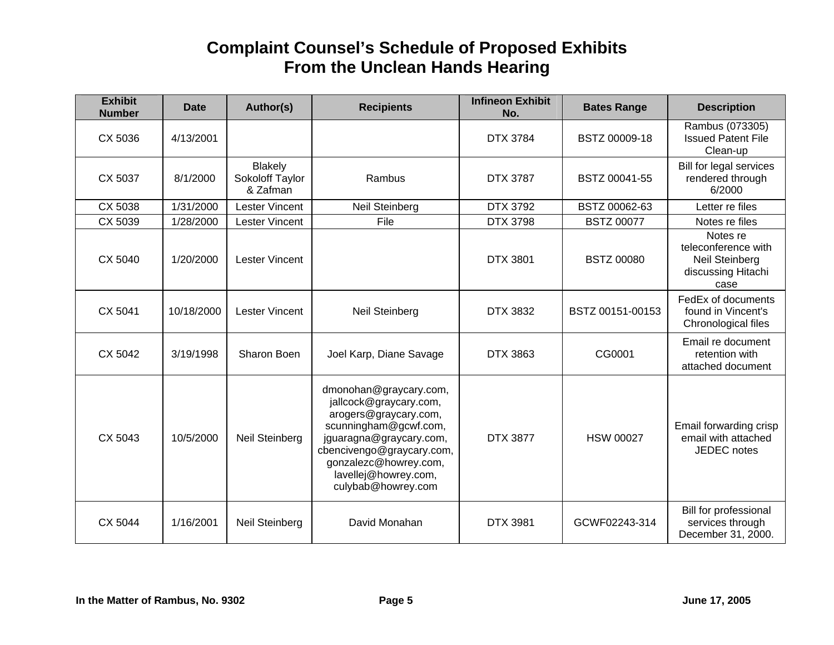| <b>Exhibit</b><br><b>Number</b> | <b>Date</b> | Author(s)                                     | <b>Recipients</b>                                                                                                                                                                                                                 | <b>Infineon Exhibit</b><br>No. | <b>Bates Range</b> | <b>Description</b>                                                              |
|---------------------------------|-------------|-----------------------------------------------|-----------------------------------------------------------------------------------------------------------------------------------------------------------------------------------------------------------------------------------|--------------------------------|--------------------|---------------------------------------------------------------------------------|
| CX 5036                         | 4/13/2001   |                                               |                                                                                                                                                                                                                                   | <b>DTX 3784</b>                | BSTZ 00009-18      | Rambus (073305)<br><b>Issued Patent File</b><br>Clean-up                        |
| CX 5037                         | 8/1/2000    | <b>Blakely</b><br>Sokoloff Taylor<br>& Zafman | Rambus                                                                                                                                                                                                                            | <b>DTX 3787</b>                | BSTZ 00041-55      | Bill for legal services<br>rendered through<br>6/2000                           |
| CX 5038                         | 1/31/2000   | <b>Lester Vincent</b>                         | <b>Neil Steinberg</b>                                                                                                                                                                                                             | <b>DTX 3792</b>                | BSTZ 00062-63      | Letter re files                                                                 |
| CX 5039                         | 1/28/2000   | <b>Lester Vincent</b>                         | File                                                                                                                                                                                                                              | <b>DTX 3798</b>                | <b>BSTZ 00077</b>  | Notes re files                                                                  |
| CX 5040                         | 1/20/2000   | <b>Lester Vincent</b>                         |                                                                                                                                                                                                                                   | <b>DTX 3801</b>                | <b>BSTZ 00080</b>  | Notes re<br>teleconference with<br>Neil Steinberg<br>discussing Hitachi<br>case |
| CX 5041                         | 10/18/2000  | <b>Lester Vincent</b>                         | Neil Steinberg                                                                                                                                                                                                                    | <b>DTX 3832</b>                | BSTZ 00151-00153   | FedEx of documents<br>found in Vincent's<br>Chronological files                 |
| CX 5042                         | 3/19/1998   | Sharon Boen                                   | Joel Karp, Diane Savage                                                                                                                                                                                                           | DTX 3863                       | CG0001             | Email re document<br>retention with<br>attached document                        |
| CX 5043                         | 10/5/2000   | Neil Steinberg                                | dmonohan@graycary.com,<br>jallcock@graycary.com,<br>arogers@graycary.com,<br>scunningham@gcwf.com,<br>jguaragna@graycary.com,<br>cbencivengo@graycary.com,<br>gonzalezc@howrey.com,<br>lavellej@howrey.com,<br>culybab@howrey.com | <b>DTX 3877</b>                | <b>HSW 00027</b>   | Email forwarding crisp<br>email with attached<br><b>JEDEC</b> notes             |
| CX 5044                         | 1/16/2001   | Neil Steinberg                                | David Monahan                                                                                                                                                                                                                     | <b>DTX 3981</b>                | GCWF02243-314      | Bill for professional<br>services through<br>December 31, 2000.                 |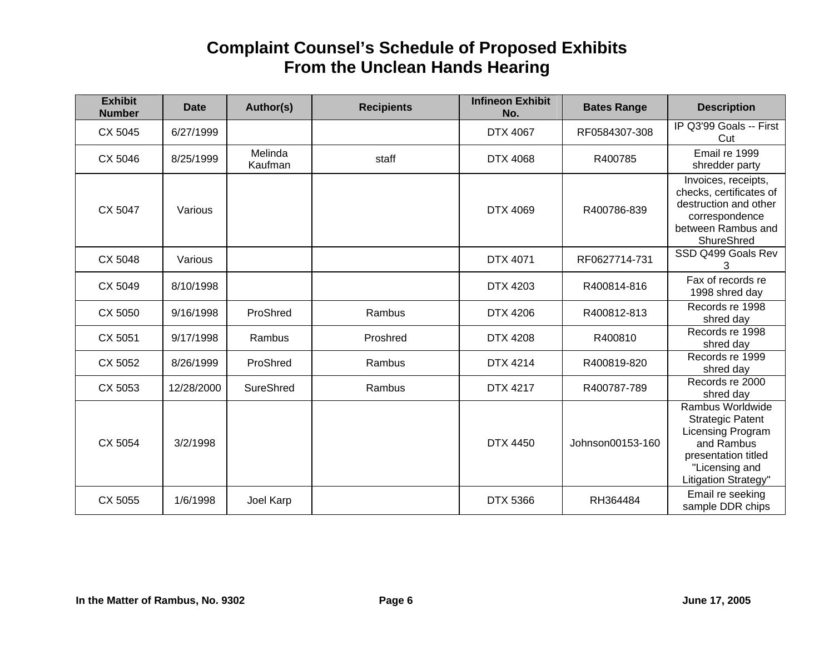| <b>Exhibit</b><br><b>Number</b> | <b>Date</b> | Author(s)          | <b>Recipients</b> | <b>Infineon Exhibit</b><br>No. | <b>Bates Range</b> | <b>Description</b>                                                                                                                              |
|---------------------------------|-------------|--------------------|-------------------|--------------------------------|--------------------|-------------------------------------------------------------------------------------------------------------------------------------------------|
| CX 5045                         | 6/27/1999   |                    |                   | DTX 4067                       | RF0584307-308      | IP Q3'99 Goals -- First<br>Cut                                                                                                                  |
| CX 5046                         | 8/25/1999   | Melinda<br>Kaufman | staff             | DTX 4068                       | R400785            | Email re 1999<br>shredder party                                                                                                                 |
| CX 5047                         | Various     |                    |                   | <b>DTX 4069</b>                | R400786-839        | Invoices, receipts,<br>checks, certificates of<br>destruction and other<br>correspondence<br>between Rambus and<br>ShureShred                   |
| CX 5048                         | Various     |                    |                   | DTX 4071                       | RF0627714-731      | SSD Q499 Goals Rev<br>3                                                                                                                         |
| CX 5049                         | 8/10/1998   |                    |                   | <b>DTX 4203</b>                | R400814-816        | Fax of records re<br>1998 shred day                                                                                                             |
| CX 5050                         | 9/16/1998   | ProShred           | Rambus            | DTX 4206                       | R400812-813        | Records re 1998<br>shred day                                                                                                                    |
| CX 5051                         | 9/17/1998   | Rambus             | Proshred          | <b>DTX 4208</b>                | R400810            | Records re 1998<br>shred day                                                                                                                    |
| CX 5052                         | 8/26/1999   | ProShred           | Rambus            | <b>DTX 4214</b>                | R400819-820        | Records re 1999<br>shred day                                                                                                                    |
| CX 5053                         | 12/28/2000  | SureShred          | Rambus            | <b>DTX 4217</b>                | R400787-789        | Records re 2000<br>shred day                                                                                                                    |
| CX 5054                         | 3/2/1998    |                    |                   | <b>DTX 4450</b>                | Johnson00153-160   | Rambus Worldwide<br><b>Strategic Patent</b><br>Licensing Program<br>and Rambus<br>presentation titled<br>"Licensing and<br>Litigation Strategy" |
| CX 5055                         | 1/6/1998    | Joel Karp          |                   | <b>DTX 5366</b>                | RH364484           | Email re seeking<br>sample DDR chips                                                                                                            |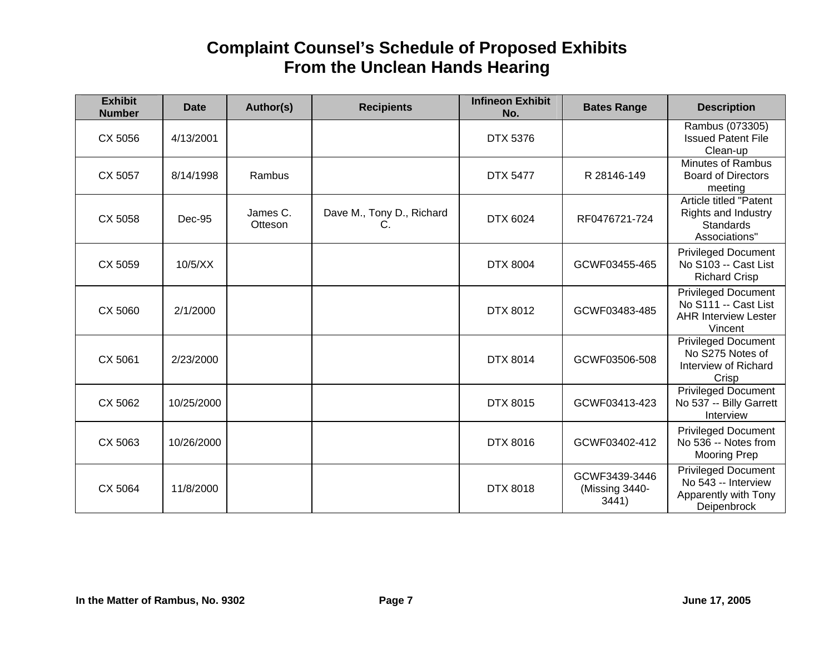| <b>Exhibit</b><br><b>Number</b> | <b>Date</b> | Author(s)           | <b>Recipients</b>               | <b>Infineon Exhibit</b><br>No. | <b>Bates Range</b>                       | <b>Description</b>                                                                           |
|---------------------------------|-------------|---------------------|---------------------------------|--------------------------------|------------------------------------------|----------------------------------------------------------------------------------------------|
| CX 5056                         | 4/13/2001   |                     |                                 | <b>DTX 5376</b>                |                                          | Rambus (073305)<br><b>Issued Patent File</b><br>Clean-up                                     |
| CX 5057                         | 8/14/1998   | Rambus              |                                 | <b>DTX 5477</b>                | R 28146-149                              | <b>Minutes of Rambus</b><br><b>Board of Directors</b><br>meeting                             |
| CX 5058                         | Dec-95      | James C.<br>Otteson | Dave M., Tony D., Richard<br>C. | DTX 6024                       | RF0476721-724                            | Article titled "Patent<br><b>Rights and Industry</b><br><b>Standards</b><br>Associations"    |
| CX 5059                         | 10/5/XX     |                     |                                 | <b>DTX 8004</b>                | GCWF03455-465                            | <b>Privileged Document</b><br>No S103 -- Cast List<br><b>Richard Crisp</b>                   |
| CX 5060                         | 2/1/2000    |                     |                                 | <b>DTX 8012</b>                | GCWF03483-485                            | <b>Privileged Document</b><br>No S111 -- Cast List<br><b>AHR Interview Lester</b><br>Vincent |
| CX 5061                         | 2/23/2000   |                     |                                 | <b>DTX 8014</b>                | GCWF03506-508                            | <b>Privileged Document</b><br>No S275 Notes of<br>Interview of Richard<br>Crisp              |
| CX 5062                         | 10/25/2000  |                     |                                 | DTX 8015                       | GCWF03413-423                            | Privileged Document<br>No 537 -- Billy Garrett<br>Interview                                  |
| CX 5063                         | 10/26/2000  |                     |                                 | DTX 8016                       | GCWF03402-412                            | <b>Privileged Document</b><br>No 536 -- Notes from<br><b>Mooring Prep</b>                    |
| CX 5064                         | 11/8/2000   |                     |                                 | <b>DTX 8018</b>                | GCWF3439-3446<br>(Missing 3440-<br>3441) | <b>Privileged Document</b><br>No 543 -- Interview<br>Apparently with Tony<br>Deipenbrock     |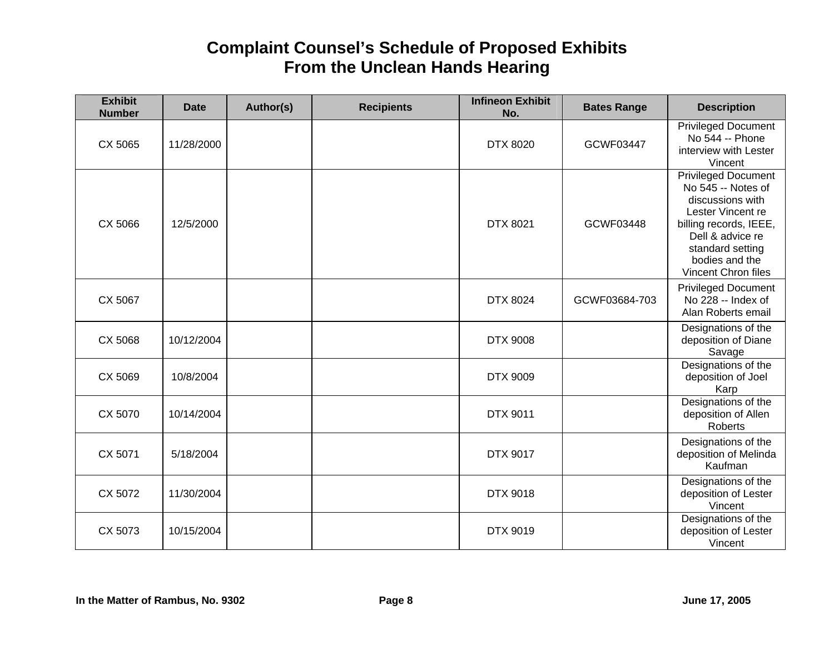| <b>Exhibit</b><br><b>Number</b> | <b>Date</b> | Author(s) | <b>Recipients</b> | <b>Infineon Exhibit</b><br>No. | <b>Bates Range</b> | <b>Description</b>                                                                                                                                                                            |
|---------------------------------|-------------|-----------|-------------------|--------------------------------|--------------------|-----------------------------------------------------------------------------------------------------------------------------------------------------------------------------------------------|
| CX 5065                         | 11/28/2000  |           |                   | <b>DTX 8020</b>                | GCWF03447          | <b>Privileged Document</b><br>No 544 -- Phone<br>interview with Lester<br>Vincent                                                                                                             |
| CX 5066                         | 12/5/2000   |           |                   | <b>DTX 8021</b>                | GCWF03448          | Privileged Document<br>No 545 -- Notes of<br>discussions with<br>Lester Vincent re<br>billing records, IEEE,<br>Dell & advice re<br>standard setting<br>bodies and the<br>Vincent Chron files |
| CX 5067                         |             |           |                   | <b>DTX 8024</b>                | GCWF03684-703      | <b>Privileged Document</b><br>No 228 -- Index of<br>Alan Roberts email                                                                                                                        |
| CX 5068                         | 10/12/2004  |           |                   | <b>DTX 9008</b>                |                    | Designations of the<br>deposition of Diane<br>Savage                                                                                                                                          |
| CX 5069                         | 10/8/2004   |           |                   | <b>DTX 9009</b>                |                    | Designations of the<br>deposition of Joel<br>Karp                                                                                                                                             |
| CX 5070                         | 10/14/2004  |           |                   | <b>DTX 9011</b>                |                    | Designations of the<br>deposition of Allen<br>Roberts                                                                                                                                         |
| CX 5071                         | 5/18/2004   |           |                   | <b>DTX 9017</b>                |                    | Designations of the<br>deposition of Melinda<br>Kaufman                                                                                                                                       |
| CX 5072                         | 11/30/2004  |           |                   | <b>DTX 9018</b>                |                    | Designations of the<br>deposition of Lester<br>Vincent                                                                                                                                        |
| CX 5073                         | 10/15/2004  |           |                   | <b>DTX 9019</b>                |                    | Designations of the<br>deposition of Lester<br>Vincent                                                                                                                                        |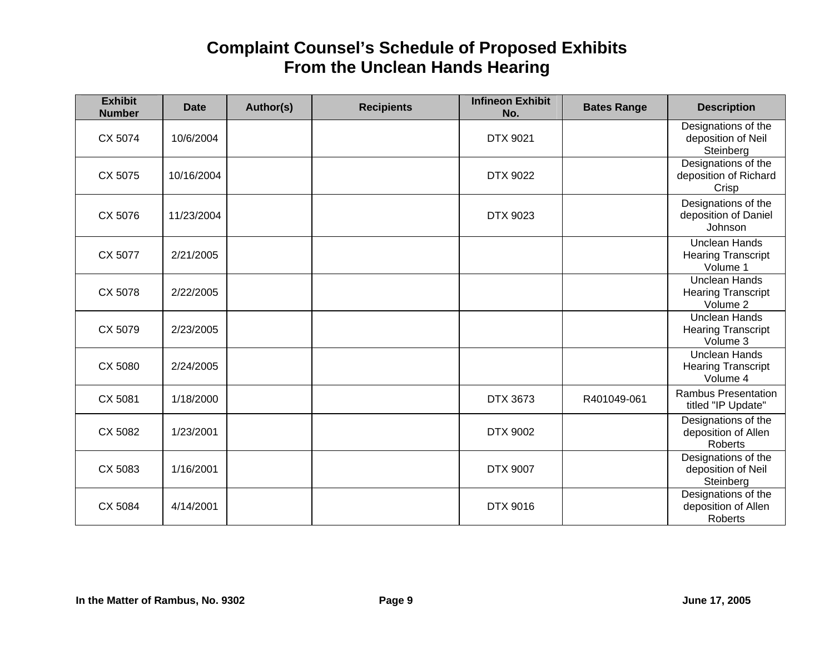| <b>Exhibit</b><br><b>Number</b> | <b>Date</b> | Author(s) | <b>Recipients</b> | <b>Infineon Exhibit</b><br>No. | <b>Bates Range</b> | <b>Description</b>                                            |
|---------------------------------|-------------|-----------|-------------------|--------------------------------|--------------------|---------------------------------------------------------------|
| CX 5074                         | 10/6/2004   |           |                   | <b>DTX 9021</b>                |                    | Designations of the<br>deposition of Neil<br>Steinberg        |
| CX 5075                         | 10/16/2004  |           |                   | DTX 9022                       |                    | Designations of the<br>deposition of Richard<br>Crisp         |
| CX 5076                         | 11/23/2004  |           |                   | DTX 9023                       |                    | Designations of the<br>deposition of Daniel<br>Johnson        |
| CX 5077                         | 2/21/2005   |           |                   |                                |                    | <b>Unclean Hands</b><br><b>Hearing Transcript</b><br>Volume 1 |
| CX 5078                         | 2/22/2005   |           |                   |                                |                    | <b>Unclean Hands</b><br><b>Hearing Transcript</b><br>Volume 2 |
| CX 5079                         | 2/23/2005   |           |                   |                                |                    | <b>Unclean Hands</b><br><b>Hearing Transcript</b><br>Volume 3 |
| CX 5080                         | 2/24/2005   |           |                   |                                |                    | <b>Unclean Hands</b><br><b>Hearing Transcript</b><br>Volume 4 |
| CX 5081                         | 1/18/2000   |           |                   | DTX 3673                       | R401049-061        | <b>Rambus Presentation</b><br>titled "IP Update"              |
| CX 5082                         | 1/23/2001   |           |                   | DTX 9002                       |                    | Designations of the<br>deposition of Allen<br><b>Roberts</b>  |
| CX 5083                         | 1/16/2001   |           |                   | <b>DTX 9007</b>                |                    | Designations of the<br>deposition of Neil<br>Steinberg        |
| CX 5084                         | 4/14/2001   |           |                   | DTX 9016                       |                    | Designations of the<br>deposition of Allen<br>Roberts         |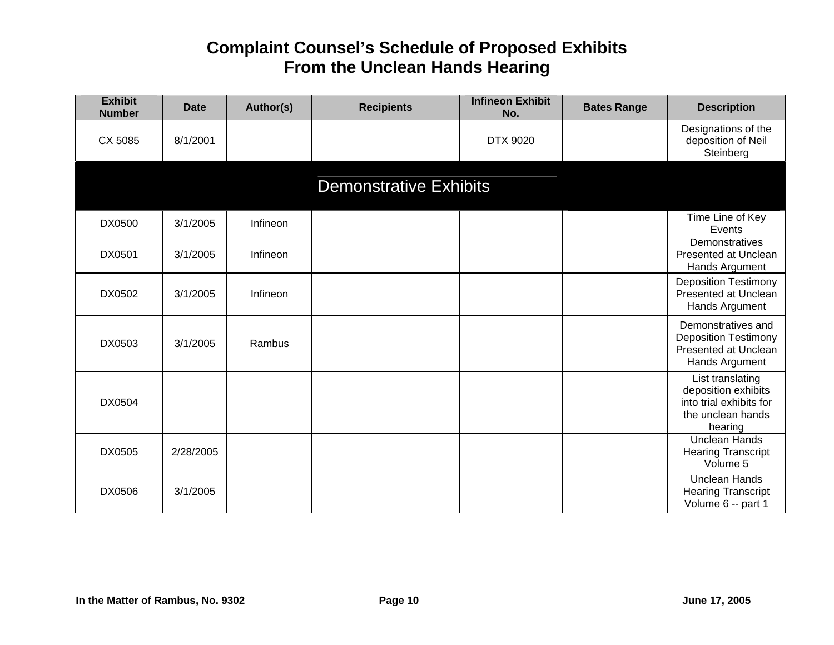| <b>Exhibit</b><br><b>Number</b> | <b>Date</b> | Author(s) | <b>Recipients</b>             | <b>Infineon Exhibit</b><br>No. | <b>Bates Range</b> | <b>Description</b>                                                                                 |
|---------------------------------|-------------|-----------|-------------------------------|--------------------------------|--------------------|----------------------------------------------------------------------------------------------------|
| CX 5085                         | 8/1/2001    |           |                               | DTX 9020                       |                    | Designations of the<br>deposition of Neil<br>Steinberg                                             |
|                                 |             |           | <b>Demonstrative Exhibits</b> |                                |                    |                                                                                                    |
| DX0500                          | 3/1/2005    | Infineon  |                               |                                |                    | Time Line of Key<br>Events                                                                         |
| DX0501                          | 3/1/2005    | Infineon  |                               |                                |                    | Demonstratives<br>Presented at Unclean<br>Hands Argument                                           |
| DX0502                          | 3/1/2005    | Infineon  |                               |                                |                    | <b>Deposition Testimony</b><br>Presented at Unclean<br>Hands Argument                              |
| DX0503                          | 3/1/2005    | Rambus    |                               |                                |                    | Demonstratives and<br><b>Deposition Testimony</b><br>Presented at Unclean<br>Hands Argument        |
| DX0504                          |             |           |                               |                                |                    | List translating<br>deposition exhibits<br>into trial exhibits for<br>the unclean hands<br>hearing |
| DX0505                          | 2/28/2005   |           |                               |                                |                    | <b>Unclean Hands</b><br><b>Hearing Transcript</b><br>Volume 5                                      |
| DX0506                          | 3/1/2005    |           |                               |                                |                    | <b>Unclean Hands</b><br><b>Hearing Transcript</b><br>Volume 6 -- part 1                            |